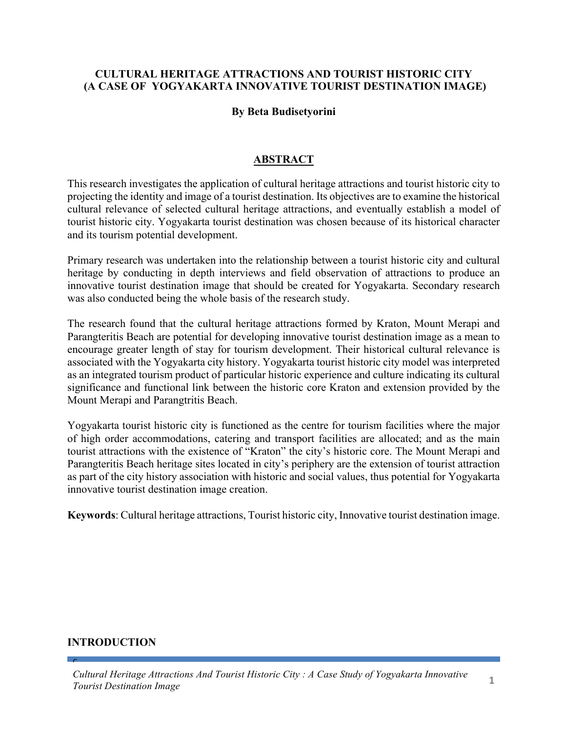### **CULTURAL HERITAGE ATTRACTIONS AND TOURIST HISTORIC CITY (A CASE OF YOGYAKARTA INNOVATIVE TOURIST DESTINATION IMAGE)**

#### **By Beta Budisetyorini**

### **ABSTRACT**

This research investigates the application of cultural heritage attractions and tourist historic city to projecting the identity and image of a tourist destination. Its objectives are to examine the historical cultural relevance of selected cultural heritage attractions, and eventually establish a model of tourist historic city. Yogyakarta tourist destination was chosen because of its historical character and its tourism potential development.

Primary research was undertaken into the relationship between a tourist historic city and cultural heritage by conducting in depth interviews and field observation of attractions to produce an innovative tourist destination image that should be created for Yogyakarta. Secondary research was also conducted being the whole basis of the research study.

The research found that the cultural heritage attractions formed by Kraton, Mount Merapi and Parangteritis Beach are potential for developing innovative tourist destination image as a mean to encourage greater length of stay for tourism development. Their historical cultural relevance is associated with the Yogyakarta city history. Yogyakarta tourist historic city model was interpreted as an integrated tourism product of particular historic experience and culture indicating its cultural significance and functional link between the historic core Kraton and extension provided by the Mount Merapi and Parangtritis Beach.

Yogyakarta tourist historic city is functioned as the centre for tourism facilities where the major of high order accommodations, catering and transport facilities are allocated; and as the main tourist attractions with the existence of "Kraton" the city's historic core. The Mount Merapi and Parangteritis Beach heritage sites located in city's periphery are the extension of tourist attraction as part of the city history association with historic and social values, thus potential for Yogyakarta innovative tourist destination image creation.

**Keywords**: Cultural heritage attractions, Tourist historic city, Innovative tourist destination image.

#### **INTRODUCTION**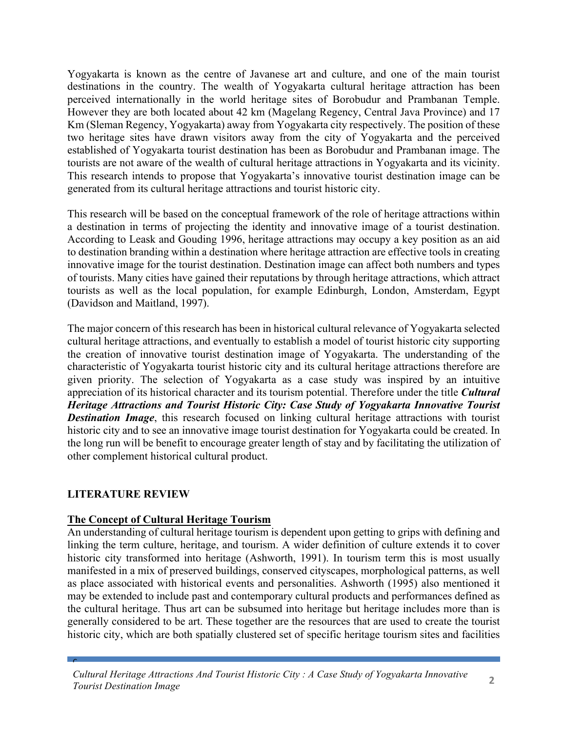Yogyakarta is known as the centre of Javanese art and culture, and one of the main tourist destinations in the country. The wealth of Yogyakarta cultural heritage attraction has been perceived internationally in the world heritage sites of Borobudur and Prambanan Temple. However they are both located about 42 km (Magelang Regency, Central Java Province) and 17 Km (Sleman Regency, Yogyakarta) away from Yogyakarta city respectively. The position of these two heritage sites have drawn visitors away from the city of Yogyakarta and the perceived established of Yogyakarta tourist destination has been as Borobudur and Prambanan image. The tourists are not aware of the wealth of cultural heritage attractions in Yogyakarta and its vicinity. This research intends to propose that Yogyakarta's innovative tourist destination image can be generated from its cultural heritage attractions and tourist historic city.

This research will be based on the conceptual framework of the role of heritage attractions within a destination in terms of projecting the identity and innovative image of a tourist destination. According to Leask and Gouding 1996, heritage attractions may occupy a key position as an aid to destination branding within a destination where heritage attraction are effective tools in creating innovative image for the tourist destination. Destination image can affect both numbers and types of tourists. Many cities have gained their reputations by through heritage attractions, which attract tourists as well as the local population, for example Edinburgh, London, Amsterdam, Egypt (Davidson and Maitland, 1997).

The major concern of this research has been in historical cultural relevance of Yogyakarta selected cultural heritage attractions, and eventually to establish a model of tourist historic city supporting the creation of innovative tourist destination image of Yogyakarta. The understanding of the characteristic of Yogyakarta tourist historic city and its cultural heritage attractions therefore are given priority. The selection of Yogyakarta as a case study was inspired by an intuitive appreciation of its historical character and its tourism potential. Therefore under the title *Cultural Heritage Attractions and Tourist Historic City: Case Study of Yogyakarta Innovative Tourist*  **Destination Image**, this research focused on linking cultural heritage attractions with tourist historic city and to see an innovative image tourist destination for Yogyakarta could be created. In the long run will be benefit to encourage greater length of stay and by facilitating the utilization of other complement historical cultural product.

### **LITERATURE REVIEW**

 $\mathbf{C}$ 

### **The Concept of Cultural Heritage Tourism**

An understanding of cultural heritage tourism is dependent upon getting to grips with defining and linking the term culture, heritage, and tourism. A wider definition of culture extends it to cover historic city transformed into heritage (Ashworth, 1991). In tourism term this is most usually manifested in a mix of preserved buildings, conserved cityscapes, morphological patterns, as well as place associated with historical events and personalities. Ashworth (1995) also mentioned it may be extended to include past and contemporary cultural products and performances defined as the cultural heritage. Thus art can be subsumed into heritage but heritage includes more than is generally considered to be art. These together are the resources that are used to create the tourist historic city, which are both spatially clustered set of specific heritage tourism sites and facilities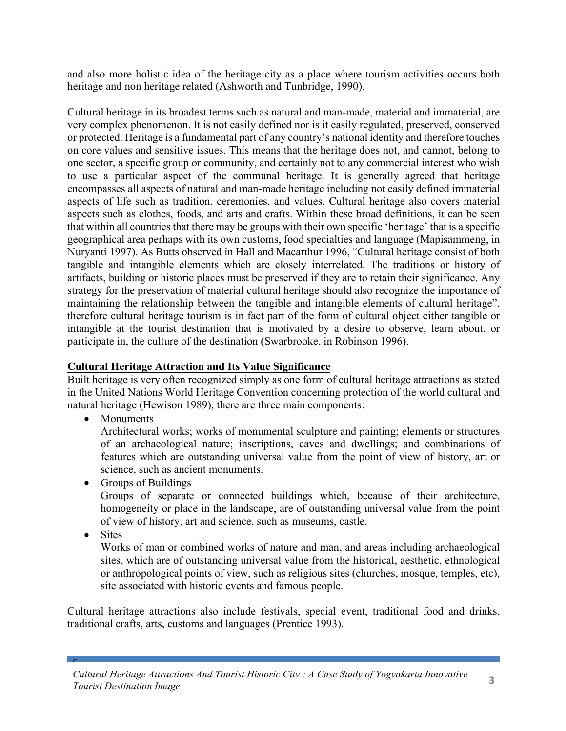and also more holistic idea of the heritage city as a place where tourism activities occurs both heritage and non heritage related (Ashworth and Tunbridge, 1990).

Cultural heritage in its broadest terms such as natural and man-made, material and immaterial, are very complex phenomenon. It is not easily defined nor is it easily regulated, preserved, conserved or protected. Heritage is a fundamental part of any country's national identity and therefore touches on core values and sensitive issues. This means that the heritage does not, and cannot, belong to one sector, a specific group or community, and certainly not to any commercial interest who wish to use a particular aspect of the communal heritage. It is generally agreed that heritage encompasses all aspects of natural and man-made heritage including not easily defined immaterial aspects of life such as tradition, ceremonies, and values. Cultural heritage also covers material aspects such as clothes, foods, and arts and crafts. Within these broad definitions, it can be seen that within all countries that there may be groups with their own specific 'heritage' that is a specific geographical area perhaps with its own customs, food specialties and language (Mapisammeng, in Nuryanti 1997). As Butts observed in Hall and Macarthur 1996, "Cultural heritage consist of both tangible and intangible elements which are closely interrelated. The traditions or history of artifacts, building or historic places must be preserved if they are to retain their significance. Any strategy for the preservation of material cultural heritage should also recognize the importance of maintaining the relationship between the tangible and intangible elements of cultural heritage", therefore cultural heritage tourism is in fact part of the form of cultural object either tangible or intangible at the tourist destination that is motivated by a desire to observe, learn about, or participate in, the culture of the destination (Swarbrooke, in Robinson 1996).

### **Cultural Heritage Attraction and Its Value Significance**

Built heritage is very often recognized simply as one form of cultural heritage attractions as stated in the United Nations World Heritage Convention concerning protection of the world cultural and natural heritage (Hewison 1989), there are three main components:

• Monuments

Architectural works; works of monumental sculpture and painting; elements or structures of an archaeological nature; inscriptions, caves and dwellings; and combinations of features which are outstanding universal value from the point of view of history, art or science, such as ancient monuments.

- Groups of Buildings Groups of separate or connected buildings which, because of their architecture, homogeneity or place in the landscape, are of outstanding universal value from the point of view of history, art and science, such as museums, castle.
- Sites

 $\mathbf{C}$ 

Works of man or combined works of nature and man, and areas including archaeological sites, which are of outstanding universal value from the historical, aesthetic, ethnological or anthropological points of view, such as religious sites (churches, mosque, temples, etc), site associated with historic events and famous people.

Cultural heritage attractions also include festivals, special event, traditional food and drinks, traditional crafts, arts, customs and languages (Prentice 1993).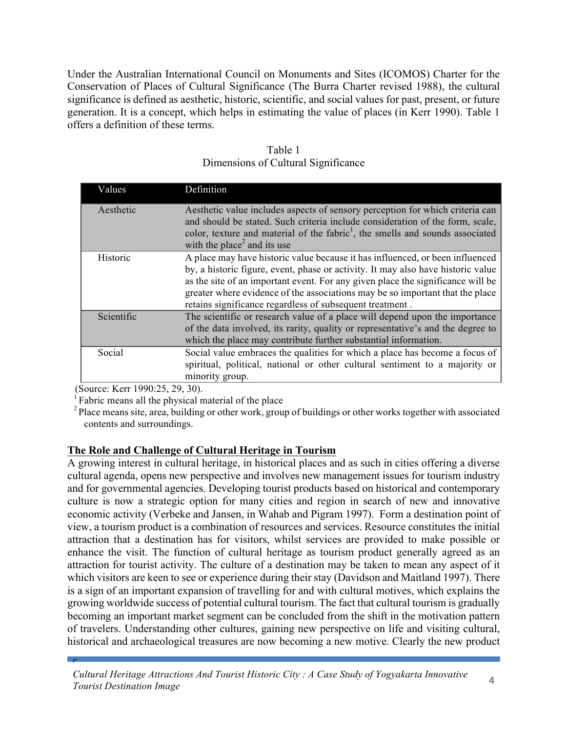Under the Australian International Council on Monuments and Sites (ICOMOS) Charter for the Conservation of Places of Cultural Significance (The Burra Charter revised 1988), the cultural significance is defined as aesthetic, historic, scientific, and social values for past, present, or future generation. It is a concept, which helps in estimating the value of places (in Kerr 1990). Table 1 offers a definition of these terms.

| Values     | Definition                                                                                                                                                                                                                                           |
|------------|------------------------------------------------------------------------------------------------------------------------------------------------------------------------------------------------------------------------------------------------------|
| Aesthetic  | Aesthetic value includes aspects of sensory perception for which criteria can<br>and should be stated. Such criteria include consideration of the form, scale,                                                                                       |
|            | color, texture and material of the fabric <sup>1</sup> , the smells and sounds associated                                                                                                                                                            |
|            | with the place <sup>2</sup> and its use                                                                                                                                                                                                              |
| Historic   | A place may have historic value because it has influenced, or been influenced<br>by, a historic figure, event, phase or activity. It may also have historic value<br>as the site of an important event. For any given place the significance will be |
|            | greater where evidence of the associations may be so important that the place<br>retains significance regardless of subsequent treatment.                                                                                                            |
| Scientific | The scientific or research value of a place will depend upon the importance                                                                                                                                                                          |
|            | of the data involved, its rarity, quality or representative's and the degree to                                                                                                                                                                      |
|            | which the place may contribute further substantial information.                                                                                                                                                                                      |
| Social     | Social value embraces the qualities for which a place has become a focus of                                                                                                                                                                          |
|            | spiritual, political, national or other cultural sentiment to a majority or                                                                                                                                                                          |
|            | minority group.                                                                                                                                                                                                                                      |

Table 1 Dimensions of Cultural Significance

 $\mathbf{C}$ 

(Source: Kerr 1990:25, 29, 30).  $1^1$ Fabric means all the physical material of the place

<sup>2</sup> Place means site, area, building or other work, group of buildings or other works together with associated contents and surroundings.

#### **The Role and Challenge of Cultural Heritage in Tourism**

A growing interest in cultural heritage, in historical places and as such in cities offering a diverse cultural agenda, opens new perspective and involves new management issues for tourism industry and for governmental agencies. Developing tourist products based on historical and contemporary culture is now a strategic option for many cities and region in search of new and innovative economic activity (Verbeke and Jansen, in Wahab and Pigram 1997). Form a destination point of view, a tourism product is a combination of resources and services. Resource constitutes the initial attraction that a destination has for visitors, whilst services are provided to make possible or enhance the visit. The function of cultural heritage as tourism product generally agreed as an attraction for tourist activity. The culture of a destination may be taken to mean any aspect of it which visitors are keen to see or experience during their stay (Davidson and Maitland 1997). There is a sign of an important expansion of travelling for and with cultural motives, which explains the growing worldwide success of potential cultural tourism. The fact that cultural tourism is gradually becoming an important market segment can be concluded from the shift in the motivation pattern of travelers. Understanding other cultures, gaining new perspective on life and visiting cultural, historical and archaeological treasures are now becoming a new motive. Clearly the new product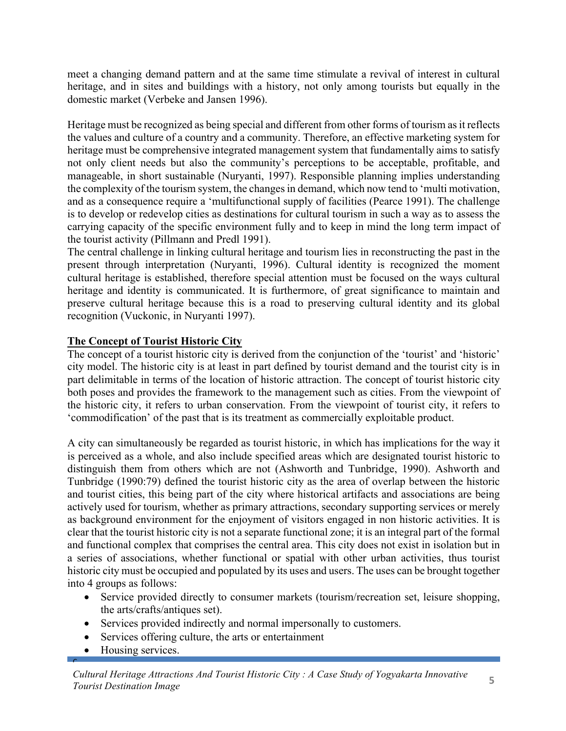meet a changing demand pattern and at the same time stimulate a revival of interest in cultural heritage, and in sites and buildings with a history, not only among tourists but equally in the domestic market (Verbeke and Jansen 1996).

Heritage must be recognized as being special and different from other forms of tourism as it reflects the values and culture of a country and a community. Therefore, an effective marketing system for heritage must be comprehensive integrated management system that fundamentally aims to satisfy not only client needs but also the community's perceptions to be acceptable, profitable, and manageable, in short sustainable (Nuryanti, 1997). Responsible planning implies understanding the complexity of the tourism system, the changes in demand, which now tend to 'multi motivation, and as a consequence require a 'multifunctional supply of facilities (Pearce 1991). The challenge is to develop or redevelop cities as destinations for cultural tourism in such a way as to assess the carrying capacity of the specific environment fully and to keep in mind the long term impact of the tourist activity (Pillmann and Predl 1991).

The central challenge in linking cultural heritage and tourism lies in reconstructing the past in the present through interpretation (Nuryanti, 1996). Cultural identity is recognized the moment cultural heritage is established, therefore special attention must be focused on the ways cultural heritage and identity is communicated. It is furthermore, of great significance to maintain and preserve cultural heritage because this is a road to preserving cultural identity and its global recognition (Vuckonic, in Nuryanti 1997).

# **The Concept of Tourist Historic City**

The concept of a tourist historic city is derived from the conjunction of the 'tourist' and 'historic' city model. The historic city is at least in part defined by tourist demand and the tourist city is in part delimitable in terms of the location of historic attraction. The concept of tourist historic city both poses and provides the framework to the management such as cities. From the viewpoint of the historic city, it refers to urban conservation. From the viewpoint of tourist city, it refers to 'commodification' of the past that is its treatment as commercially exploitable product.

A city can simultaneously be regarded as tourist historic, in which has implications for the way it is perceived as a whole, and also include specified areas which are designated tourist historic to distinguish them from others which are not (Ashworth and Tunbridge, 1990). Ashworth and Tunbridge (1990:79) defined the tourist historic city as the area of overlap between the historic and tourist cities, this being part of the city where historical artifacts and associations are being actively used for tourism, whether as primary attractions, secondary supporting services or merely as background environment for the enjoyment of visitors engaged in non historic activities. It is clear that the tourist historic city is not a separate functional zone; it is an integral part of the formal and functional complex that comprises the central area. This city does not exist in isolation but in a series of associations, whether functional or spatial with other urban activities, thus tourist historic city must be occupied and populated by its uses and users. The uses can be brought together into 4 groups as follows:

- Service provided directly to consumer markets (tourism/recreation set, leisure shopping, the arts/crafts/antiques set).
- Services provided indirectly and normal impersonally to customers.
- Services offering culture, the arts or entertainment
- Housing services.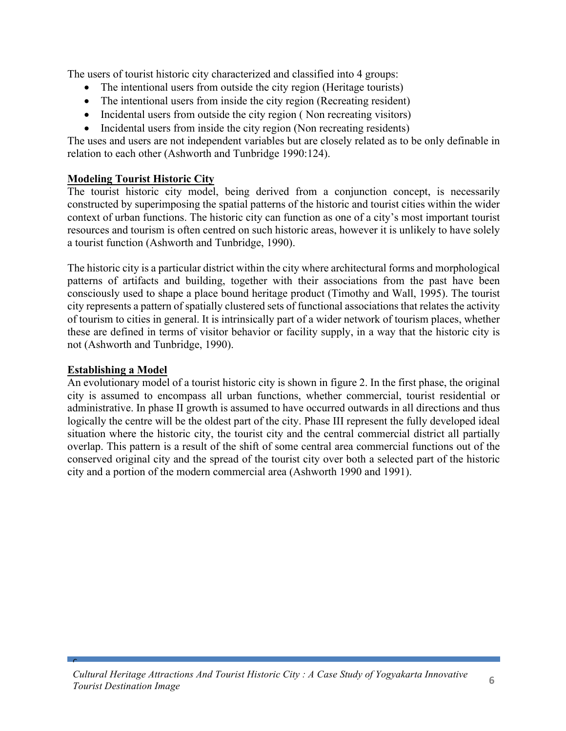The users of tourist historic city characterized and classified into 4 groups:

- The intentional users from outside the city region (Heritage tourists)
- The intentional users from inside the city region (Recreating resident)
- Incidental users from outside the city region (Non recreating visitors)
- Incidental users from inside the city region (Non recreating residents)

The uses and users are not independent variables but are closely related as to be only definable in relation to each other (Ashworth and Tunbridge 1990:124).

## **Modeling Tourist Historic City**

The tourist historic city model, being derived from a conjunction concept, is necessarily constructed by superimposing the spatial patterns of the historic and tourist cities within the wider context of urban functions. The historic city can function as one of a city's most important tourist resources and tourism is often centred on such historic areas, however it is unlikely to have solely a tourist function (Ashworth and Tunbridge, 1990).

The historic city is a particular district within the city where architectural forms and morphological patterns of artifacts and building, together with their associations from the past have been consciously used to shape a place bound heritage product (Timothy and Wall, 1995). The tourist city represents a pattern of spatially clustered sets of functional associations that relates the activity of tourism to cities in general. It is intrinsically part of a wider network of tourism places, whether these are defined in terms of visitor behavior or facility supply, in a way that the historic city is not (Ashworth and Tunbridge, 1990).

# **Establishing a Model**

 $\mathbf{C}$ 

An evolutionary model of a tourist historic city is shown in figure 2. In the first phase, the original city is assumed to encompass all urban functions, whether commercial, tourist residential or administrative. In phase II growth is assumed to have occurred outwards in all directions and thus logically the centre will be the oldest part of the city. Phase III represent the fully developed ideal situation where the historic city, the tourist city and the central commercial district all partially overlap. This pattern is a result of the shift of some central area commercial functions out of the conserved original city and the spread of the tourist city over both a selected part of the historic city and a portion of the modern commercial area (Ashworth 1990 and 1991).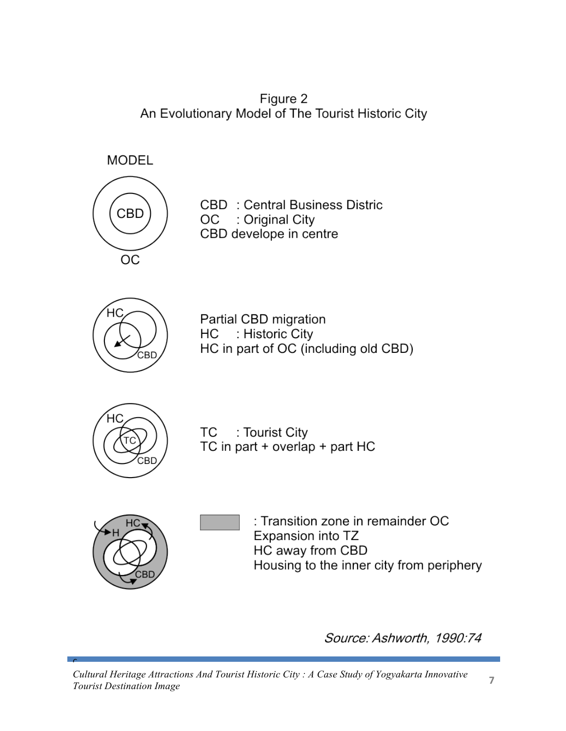Figure 2 An Evolutionary Model of The Tourist Historic City

**MODEL** 



**CBD** : Central Business Distric OC : Original City CBD develope in centre



Partial CBD migration : Historic City НC HC in part of OC (including old CBD)



: Tourist City TC TC in part + overlap + part HC



 $\mathbf{C}$ 

: Transition zone in remainder OC Expansion into TZ HC away from CBD Housing to the inner city from periphery

Source: Ashworth, 1990:74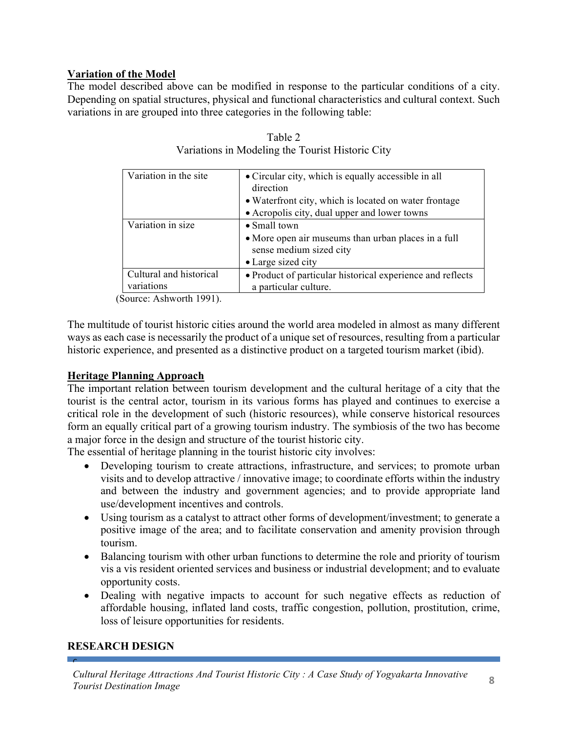# **Variation of the Model**

The model described above can be modified in response to the particular conditions of a city. Depending on spatial structures, physical and functional characteristics and cultural context. Such variations in are grouped into three categories in the following table:

| Variation in the site   | • Circular city, which is equally accessible in all<br>direction               |
|-------------------------|--------------------------------------------------------------------------------|
|                         | • Waterfront city, which is located on water frontage                          |
|                         | • Acropolis city, dual upper and lower towns                                   |
| Variation in size       | $\bullet$ Small town                                                           |
|                         | • More open air museums than urban places in a full<br>sense medium sized city |
|                         | • Large sized city                                                             |
| Cultural and historical | • Product of particular historical experience and reflects                     |
| variations              | a particular culture.                                                          |

| Table 2                                          |
|--------------------------------------------------|
| Variations in Modeling the Tourist Historic City |

(Source: Ashworth 1991).

The multitude of tourist historic cities around the world area modeled in almost as many different ways as each case is necessarily the product of a unique set of resources, resulting from a particular historic experience, and presented as a distinctive product on a targeted tourism market (ibid).

### **Heritage Planning Approach**

The important relation between tourism development and the cultural heritage of a city that the tourist is the central actor, tourism in its various forms has played and continues to exercise a critical role in the development of such (historic resources), while conserve historical resources form an equally critical part of a growing tourism industry. The symbiosis of the two has become a major force in the design and structure of the tourist historic city.

The essential of heritage planning in the tourist historic city involves:

- Developing tourism to create attractions, infrastructure, and services; to promote urban visits and to develop attractive / innovative image; to coordinate efforts within the industry and between the industry and government agencies; and to provide appropriate land use/development incentives and controls.
- Using tourism as a catalyst to attract other forms of development/investment; to generate a positive image of the area; and to facilitate conservation and amenity provision through tourism.
- Balancing tourism with other urban functions to determine the role and priority of tourism vis a vis resident oriented services and business or industrial development; and to evaluate opportunity costs.
- Dealing with negative impacts to account for such negative effects as reduction of affordable housing, inflated land costs, traffic congestion, pollution, prostitution, crime, loss of leisure opportunities for residents.

### **RESEARCH DESIGN**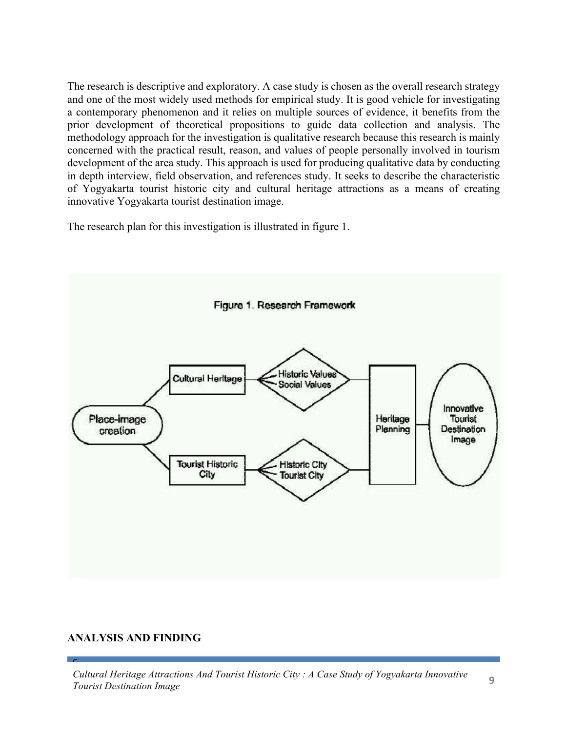The research is descriptive and exploratory. A case study is chosen as the overall research strategy and one of the most widely used methods for empirical study. It is good vehicle for investigating a contemporary phenomenon and it relies on multiple sources of evidence, it benefits from the prior development of theoretical propositions to guide data collection and analysis. The methodology approach for the investigation is qualitative research because this research is mainly concerned with the practical result, reason, and values of people personally involved in tourism development of the area study. This approach is used for producing qualitative data by conducting in depth interview, field observation, and references study. It seeks to describe the characteristic of Yogyakarta tourist historic city and cultural heritage attractions as a means of creating innovative Yogyakarta tourist destination image.

The research plan for this investigation is illustrated in figure 1.



#### **ANALYSIS AND FINDING**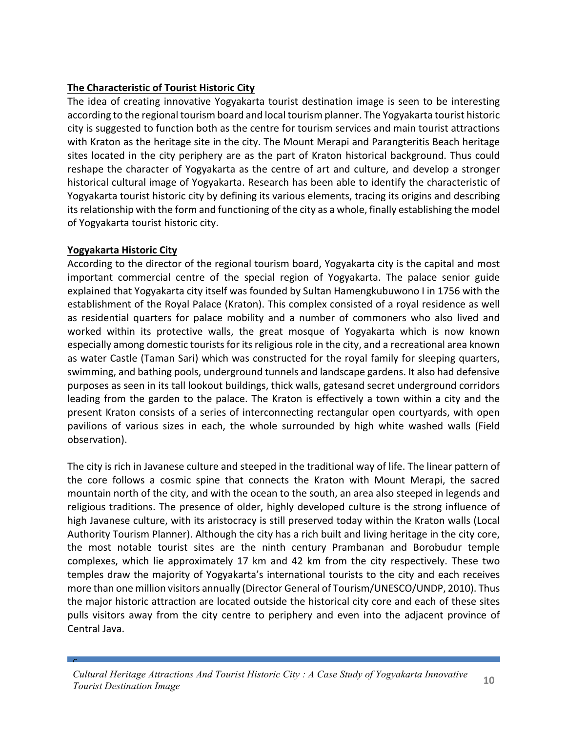# **The Characteristic of Tourist Historic City**

The idea of creating innovative Yogyakarta tourist destination image is seen to be interesting according to the regional tourism board and local tourism planner. The Yogyakarta tourist historic city is suggested to function both as the centre for tourism services and main tourist attractions with Kraton as the heritage site in the city. The Mount Merapi and Parangteritis Beach heritage sites located in the city periphery are as the part of Kraton historical background. Thus could reshape the character of Yogyakarta as the centre of art and culture, and develop a stronger historical cultural image of Yogyakarta. Research has been able to identify the characteristic of Yogyakarta tourist historic city by defining its various elements, tracing its origins and describing its relationship with the form and functioning of the city as a whole, finally establishing the model of Yogyakarta tourist historic city.

### **Yogyakarta Historic City**

 $\mathbf{C}$ 

According to the director of the regional tourism board, Yogyakarta city is the capital and most important commercial centre of the special region of Yogyakarta. The palace senior guide explained that Yogyakarta city itself was founded by Sultan Hamengkubuwono I in 1756 with the establishment of the Royal Palace (Kraton). This complex consisted of a royal residence as well as residential quarters for palace mobility and a number of commoners who also lived and worked within its protective walls, the great mosque of Yogyakarta which is now known especially among domestic tourists for its religious role in the city, and a recreational area known as water Castle (Taman Sari) which was constructed for the royal family for sleeping quarters, swimming, and bathing pools, underground tunnels and landscape gardens. It also had defensive purposes as seen in its tall lookout buildings, thick walls, gatesand secret underground corridors leading from the garden to the palace. The Kraton is effectively a town within a city and the present Kraton consists of a series of interconnecting rectangular open courtyards, with open pavilions of various sizes in each, the whole surrounded by high white washed walls (Field observation).

The city is rich in Javanese culture and steeped in the traditional way of life. The linear pattern of the core follows a cosmic spine that connects the Kraton with Mount Merapi, the sacred mountain north of the city, and with the ocean to the south, an area also steeped in legends and religious traditions. The presence of older, highly developed culture is the strong influence of high Javanese culture, with its aristocracy is still preserved today within the Kraton walls (Local Authority Tourism Planner). Although the city has a rich built and living heritage in the city core, the most notable tourist sites are the ninth century Prambanan and Borobudur temple complexes, which lie approximately 17 km and 42 km from the city respectively. These two temples draw the majority of Yogyakarta's international tourists to the city and each receives more than one million visitors annually (Director General of Tourism/UNESCO/UNDP, 2010). Thus the major historic attraction are located outside the historical city core and each of these sites pulls visitors away from the city centre to periphery and even into the adjacent province of Central Java.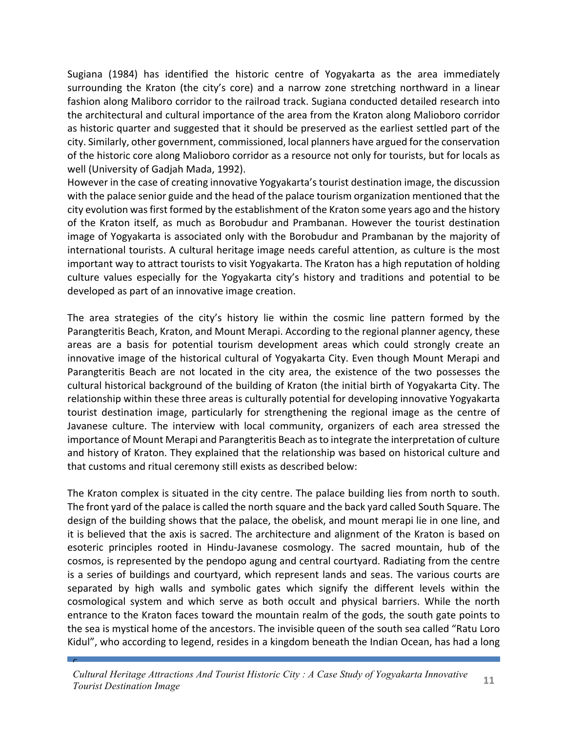Sugiana (1984) has identified the historic centre of Yogyakarta as the area immediately surrounding the Kraton (the city's core) and a narrow zone stretching northward in a linear fashion along Maliboro corridor to the railroad track. Sugiana conducted detailed research into the architectural and cultural importance of the area from the Kraton along Malioboro corridor as historic quarter and suggested that it should be preserved as the earliest settled part of the city. Similarly, other government, commissioned, local planners have argued for the conservation of the historic core along Malioboro corridor as a resource not only for tourists, but for locals as well (University of Gadjah Mada, 1992).

However in the case of creating innovative Yogyakarta's tourist destination image, the discussion with the palace senior guide and the head of the palace tourism organization mentioned that the city evolution was first formed by the establishment of the Kraton some years ago and the history of the Kraton itself, as much as Borobudur and Prambanan. However the tourist destination image of Yogyakarta is associated only with the Borobudur and Prambanan by the majority of international tourists. A cultural heritage image needs careful attention, as culture is the most important way to attract tourists to visit Yogyakarta. The Kraton has a high reputation of holding culture values especially for the Yogyakarta city's history and traditions and potential to be developed as part of an innovative image creation.

The area strategies of the city's history lie within the cosmic line pattern formed by the Parangteritis Beach, Kraton, and Mount Merapi. According to the regional planner agency, these areas are a basis for potential tourism development areas which could strongly create an innovative image of the historical cultural of Yogyakarta City. Even though Mount Merapi and Parangteritis Beach are not located in the city area, the existence of the two possesses the cultural historical background of the building of Kraton (the initial birth of Yogyakarta City. The relationship within these three areas is culturally potential for developing innovative Yogyakarta tourist destination image, particularly for strengthening the regional image as the centre of Javanese culture. The interview with local community, organizers of each area stressed the importance of Mount Merapi and Parangteritis Beach as to integrate the interpretation of culture and history of Kraton. They explained that the relationship was based on historical culture and that customs and ritual ceremony still exists as described below:

The Kraton complex is situated in the city centre. The palace building lies from north to south. The front yard of the palace is called the north square and the back yard called South Square. The design of the building shows that the palace, the obelisk, and mount merapi lie in one line, and it is believed that the axis is sacred. The architecture and alignment of the Kraton is based on esoteric principles rooted in Hindu-Javanese cosmology. The sacred mountain, hub of the cosmos, is represented by the pendopo agung and central courtyard. Radiating from the centre is a series of buildings and courtyard, which represent lands and seas. The various courts are separated by high walls and symbolic gates which signify the different levels within the cosmological system and which serve as both occult and physical barriers. While the north entrance to the Kraton faces toward the mountain realm of the gods, the south gate points to the sea is mystical home of the ancestors. The invisible queen of the south sea called "Ratu Loro" Kidul", who according to legend, resides in a kingdom beneath the Indian Ocean, has had a long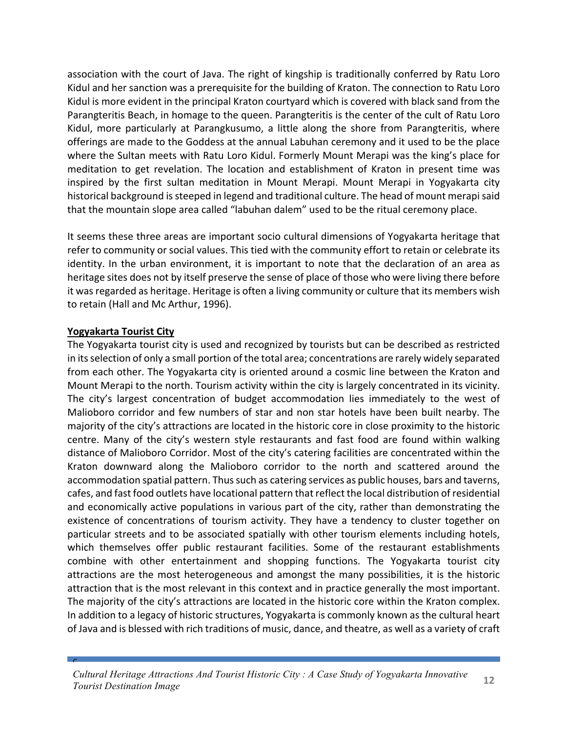association with the court of Java. The right of kingship is traditionally conferred by Ratu Loro Kidul and her sanction was a prerequisite for the building of Kraton. The connection to Ratu Loro Kidul is more evident in the principal Kraton courtyard which is covered with black sand from the Parangteritis Beach, in homage to the queen. Parangteritis is the center of the cult of Ratu Loro Kidul, more particularly at Parangkusumo, a little along the shore from Parangteritis, where offerings are made to the Goddess at the annual Labuhan ceremony and it used to be the place where the Sultan meets with Ratu Loro Kidul. Formerly Mount Merapi was the king's place for meditation to get revelation. The location and establishment of Kraton in present time was inspired by the first sultan meditation in Mount Merapi. Mount Merapi in Yogyakarta city historical background is steeped in legend and traditional culture. The head of mount merapi said that the mountain slope area called "labuhan dalem" used to be the ritual ceremony place.

It seems these three areas are important socio cultural dimensions of Yogyakarta heritage that refer to community or social values. This tied with the community effort to retain or celebrate its identity. In the urban environment, it is important to note that the declaration of an area as heritage sites does not by itself preserve the sense of place of those who were living there before it was regarded as heritage. Heritage is often a living community or culture that its members wish to retain (Hall and Mc Arthur, 1996).

#### **Yogyakarta Tourist City**

 $\mathbf{C}$ 

The Yogyakarta tourist city is used and recognized by tourists but can be described as restricted in its selection of only a small portion of the total area; concentrations are rarely widely separated from each other. The Yogyakarta city is oriented around a cosmic line between the Kraton and Mount Merapi to the north. Tourism activity within the city is largely concentrated in its vicinity. The city's largest concentration of budget accommodation lies immediately to the west of Malioboro corridor and few numbers of star and non star hotels have been built nearby. The majority of the city's attractions are located in the historic core in close proximity to the historic centre. Many of the city's western style restaurants and fast food are found within walking distance of Malioboro Corridor. Most of the city's catering facilities are concentrated within the Kraton downward along the Malioboro corridor to the north and scattered around the accommodation spatial pattern. Thus such as catering services as public houses, bars and taverns, cafes, and fast food outlets have locational pattern that reflect the local distribution of residential and economically active populations in various part of the city, rather than demonstrating the existence of concentrations of tourism activity. They have a tendency to cluster together on particular streets and to be associated spatially with other tourism elements including hotels, which themselves offer public restaurant facilities. Some of the restaurant establishments combine with other entertainment and shopping functions. The Yogyakarta tourist city attractions are the most heterogeneous and amongst the many possibilities, it is the historic attraction that is the most relevant in this context and in practice generally the most important. The majority of the city's attractions are located in the historic core within the Kraton complex. In addition to a legacy of historic structures, Yogyakarta is commonly known as the cultural heart of Java and is blessed with rich traditions of music, dance, and theatre, as well as a variety of craft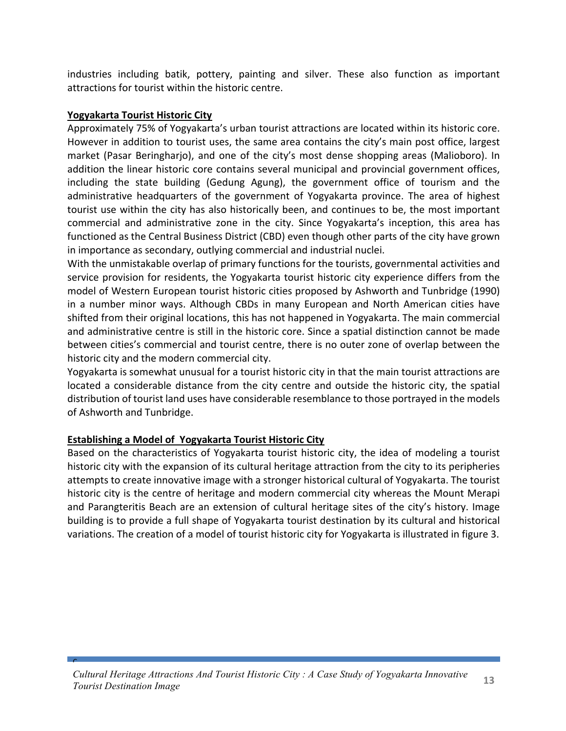industries including batik, pottery, painting and silver. These also function as important attractions for tourist within the historic centre.

#### **Yogyakarta Tourist Historic City**

Approximately 75% of Yogyakarta's urban tourist attractions are located within its historic core. However in addition to tourist uses, the same area contains the city's main post office, largest market (Pasar Beringharjo), and one of the city's most dense shopping areas (Malioboro). In addition the linear historic core contains several municipal and provincial government offices, including the state building (Gedung Agung), the government office of tourism and the administrative headquarters of the government of Yogyakarta province. The area of highest tourist use within the city has also historically been, and continues to be, the most important commercial and administrative zone in the city. Since Yogyakarta's inception, this area has functioned as the Central Business District (CBD) even though other parts of the city have grown in importance as secondary, outlying commercial and industrial nuclei.

With the unmistakable overlap of primary functions for the tourists, governmental activities and service provision for residents, the Yogyakarta tourist historic city experience differs from the model of Western European tourist historic cities proposed by Ashworth and Tunbridge (1990) in a number minor ways. Although CBDs in many European and North American cities have shifted from their original locations, this has not happened in Yogyakarta. The main commercial and administrative centre is still in the historic core. Since a spatial distinction cannot be made between cities's commercial and tourist centre, there is no outer zone of overlap between the historic city and the modern commercial city.

Yogyakarta is somewhat unusual for a tourist historic city in that the main tourist attractions are located a considerable distance from the city centre and outside the historic city, the spatial distribution of tourist land uses have considerable resemblance to those portrayed in the models of Ashworth and Tunbridge.

#### **Establishing a Model of Yogyakarta Tourist Historic City**

 $\mathbf{C}$ 

Based on the characteristics of Yogyakarta tourist historic city, the idea of modeling a tourist historic city with the expansion of its cultural heritage attraction from the city to its peripheries attempts to create innovative image with a stronger historical cultural of Yogyakarta. The tourist historic city is the centre of heritage and modern commercial city whereas the Mount Merapi and Parangteritis Beach are an extension of cultural heritage sites of the city's history. Image building is to provide a full shape of Yogyakarta tourist destination by its cultural and historical variations. The creation of a model of tourist historic city for Yogyakarta is illustrated in figure 3.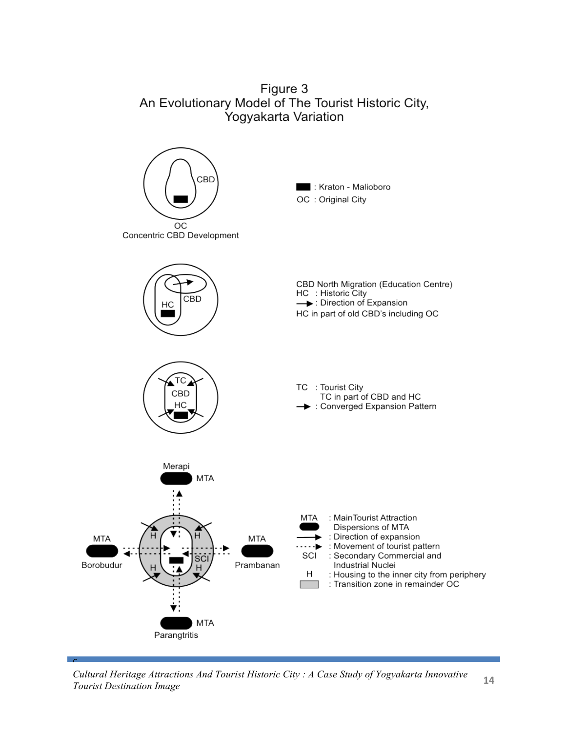Figure 3 An Evolutionary Model of The Tourist Historic City, Yogyakarta Variation



*Cultural Heritage Attractions And Tourist Historic City : A Case Study of Yogyakarta Innovative Tourist Destination Image* **<sup>14</sup>**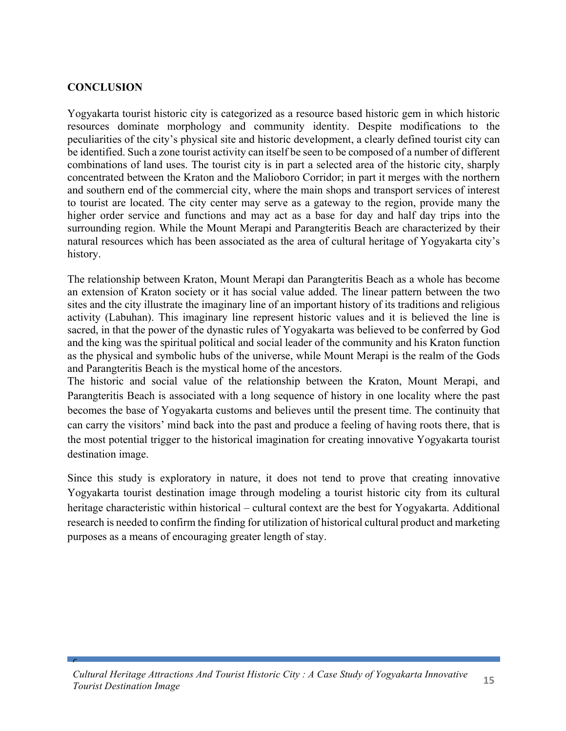### **CONCLUSION**

 $\mathbf{C}$ 

Yogyakarta tourist historic city is categorized as a resource based historic gem in which historic resources dominate morphology and community identity. Despite modifications to the peculiarities of the city's physical site and historic development, a clearly defined tourist city can be identified. Such a zone tourist activity can itself be seen to be composed of a number of different combinations of land uses. The tourist city is in part a selected area of the historic city, sharply concentrated between the Kraton and the Malioboro Corridor; in part it merges with the northern and southern end of the commercial city, where the main shops and transport services of interest to tourist are located. The city center may serve as a gateway to the region, provide many the higher order service and functions and may act as a base for day and half day trips into the surrounding region. While the Mount Merapi and Parangteritis Beach are characterized by their natural resources which has been associated as the area of cultural heritage of Yogyakarta city's history.

The relationship between Kraton, Mount Merapi dan Parangteritis Beach as a whole has become an extension of Kraton society or it has social value added. The linear pattern between the two sites and the city illustrate the imaginary line of an important history of its traditions and religious activity (Labuhan). This imaginary line represent historic values and it is believed the line is sacred, in that the power of the dynastic rules of Yogyakarta was believed to be conferred by God and the king was the spiritual political and social leader of the community and his Kraton function as the physical and symbolic hubs of the universe, while Mount Merapi is the realm of the Gods and Parangteritis Beach is the mystical home of the ancestors.

The historic and social value of the relationship between the Kraton, Mount Merapi, and Parangteritis Beach is associated with a long sequence of history in one locality where the past becomes the base of Yogyakarta customs and believes until the present time. The continuity that can carry the visitors' mind back into the past and produce a feeling of having roots there, that is the most potential trigger to the historical imagination for creating innovative Yogyakarta tourist destination image.

Since this study is exploratory in nature, it does not tend to prove that creating innovative Yogyakarta tourist destination image through modeling a tourist historic city from its cultural heritage characteristic within historical – cultural context are the best for Yogyakarta. Additional research is needed to confirm the finding for utilization of historical cultural product and marketing purposes as a means of encouraging greater length of stay.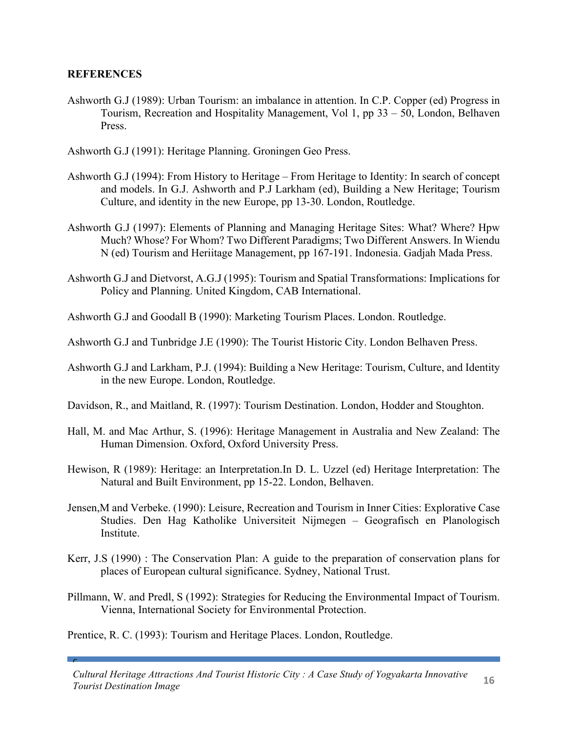### **REFERENCES**

 $\mathbf{C}$ 

Ashworth G.J (1989): Urban Tourism: an imbalance in attention. In C.P. Copper (ed) Progress in Tourism, Recreation and Hospitality Management, Vol 1, pp 33 – 50, London, Belhaven Press.

Ashworth G.J (1991): Heritage Planning. Groningen Geo Press.

- Ashworth G.J (1994): From History to Heritage From Heritage to Identity: In search of concept and models. In G.J. Ashworth and P.J Larkham (ed), Building a New Heritage; Tourism Culture, and identity in the new Europe, pp 13-30. London, Routledge.
- Ashworth G.J (1997): Elements of Planning and Managing Heritage Sites: What? Where? Hpw Much? Whose? For Whom? Two Different Paradigms; Two Different Answers. In Wiendu N (ed) Tourism and Heriitage Management, pp 167-191. Indonesia. Gadjah Mada Press.
- Ashworth G.J and Dietvorst, A.G.J (1995): Tourism and Spatial Transformations: Implications for Policy and Planning. United Kingdom, CAB International.

Ashworth G.J and Goodall B (1990): Marketing Tourism Places. London. Routledge.

- Ashworth G.J and Tunbridge J.E (1990): The Tourist Historic City. London Belhaven Press.
- Ashworth G.J and Larkham, P.J. (1994): Building a New Heritage: Tourism, Culture, and Identity in the new Europe. London, Routledge.
- Davidson, R., and Maitland, R. (1997): Tourism Destination. London, Hodder and Stoughton.
- Hall, M. and Mac Arthur, S. (1996): Heritage Management in Australia and New Zealand: The Human Dimension. Oxford, Oxford University Press.
- Hewison, R (1989): Heritage: an Interpretation.In D. L. Uzzel (ed) Heritage Interpretation: The Natural and Built Environment, pp 15-22. London, Belhaven.
- Jensen,M and Verbeke. (1990): Leisure, Recreation and Tourism in Inner Cities: Explorative Case Studies. Den Hag Katholike Universiteit Nijmegen – Geografisch en Planologisch Institute.
- Kerr, J.S (1990) : The Conservation Plan: A guide to the preparation of conservation plans for places of European cultural significance. Sydney, National Trust.
- Pillmann, W. and Predl, S (1992): Strategies for Reducing the Environmental Impact of Tourism. Vienna, International Society for Environmental Protection.

Prentice, R. C. (1993): Tourism and Heritage Places. London, Routledge.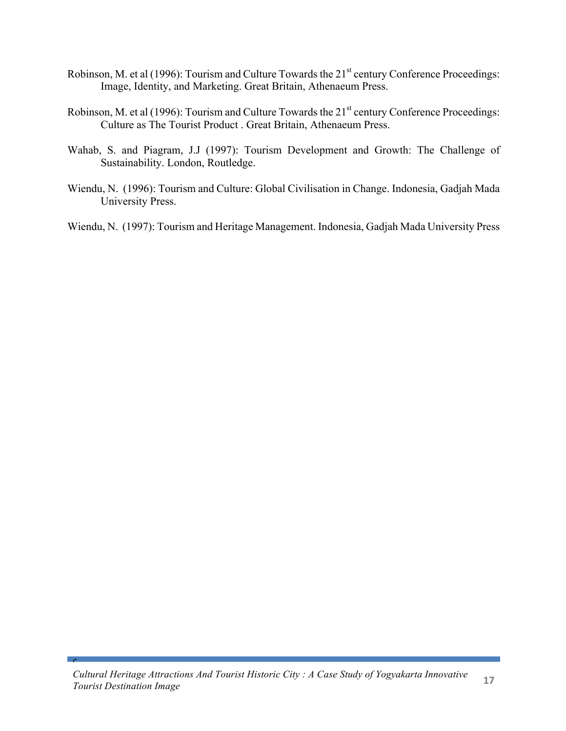- Robinson, M. et al (1996): Tourism and Culture Towards the 21<sup>st</sup> century Conference Proceedings: Image, Identity, and Marketing. Great Britain, Athenaeum Press.
- Robinson, M. et al (1996): Tourism and Culture Towards the 21<sup>st</sup> century Conference Proceedings: Culture as The Tourist Product . Great Britain, Athenaeum Press.
- Wahab, S. and Piagram, J.J (1997): Tourism Development and Growth: The Challenge of Sustainability. London, Routledge.
- Wiendu, N. (1996): Tourism and Culture: Global Civilisation in Change. Indonesia, Gadjah Mada University Press.
- Wiendu, N. (1997): Tourism and Heritage Management. Indonesia, Gadjah Mada University Press